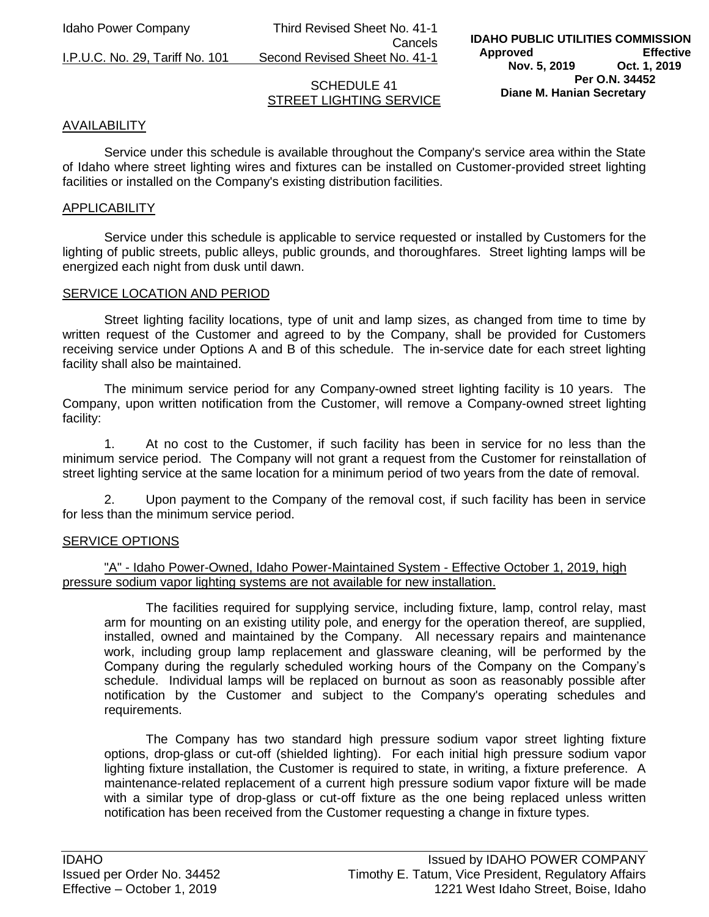Idaho Power Company Third Revised Sheet No. 41-1 Cancels

I.P.U.C. No. 29, Tariff No. 101 Second Revised Sheet No. 41-1

# SCHEDULE 41 STREET LIGHTING SERVICE

# AVAILABILITY

Service under this schedule is available throughout the Company's service area within the State of Idaho where street lighting wires and fixtures can be installed on Customer-provided street lighting facilities or installed on the Company's existing distribution facilities.

#### APPLICABILITY

Service under this schedule is applicable to service requested or installed by Customers for the lighting of public streets, public alleys, public grounds, and thoroughfares. Street lighting lamps will be energized each night from dusk until dawn.

#### SERVICE LOCATION AND PERIOD

Street lighting facility locations, type of unit and lamp sizes, as changed from time to time by written request of the Customer and agreed to by the Company, shall be provided for Customers receiving service under Options A and B of this schedule. The in-service date for each street lighting facility shall also be maintained.

The minimum service period for any Company-owned street lighting facility is 10 years. The Company, upon written notification from the Customer, will remove a Company-owned street lighting facility:

1. At no cost to the Customer, if such facility has been in service for no less than the minimum service period. The Company will not grant a request from the Customer for reinstallation of street lighting service at the same location for a minimum period of two years from the date of removal.

2. Upon payment to the Company of the removal cost, if such facility has been in service for less than the minimum service period.

#### SERVICE OPTIONS

## "A" - Idaho Power-Owned, Idaho Power-Maintained System - Effective October 1, 2019, high pressure sodium vapor lighting systems are not available for new installation.

The facilities required for supplying service, including fixture, lamp, control relay, mast arm for mounting on an existing utility pole, and energy for the operation thereof, are supplied, installed, owned and maintained by the Company. All necessary repairs and maintenance work, including group lamp replacement and glassware cleaning, will be performed by the Company during the regularly scheduled working hours of the Company on the Company's schedule. Individual lamps will be replaced on burnout as soon as reasonably possible after notification by the Customer and subject to the Company's operating schedules and requirements.

The Company has two standard high pressure sodium vapor street lighting fixture options, drop-glass or cut-off (shielded lighting). For each initial high pressure sodium vapor lighting fixture installation, the Customer is required to state, in writing, a fixture preference. A maintenance-related replacement of a current high pressure sodium vapor fixture will be made with a similar type of drop-glass or cut-off fixture as the one being replaced unless written notification has been received from the Customer requesting a change in fixture types.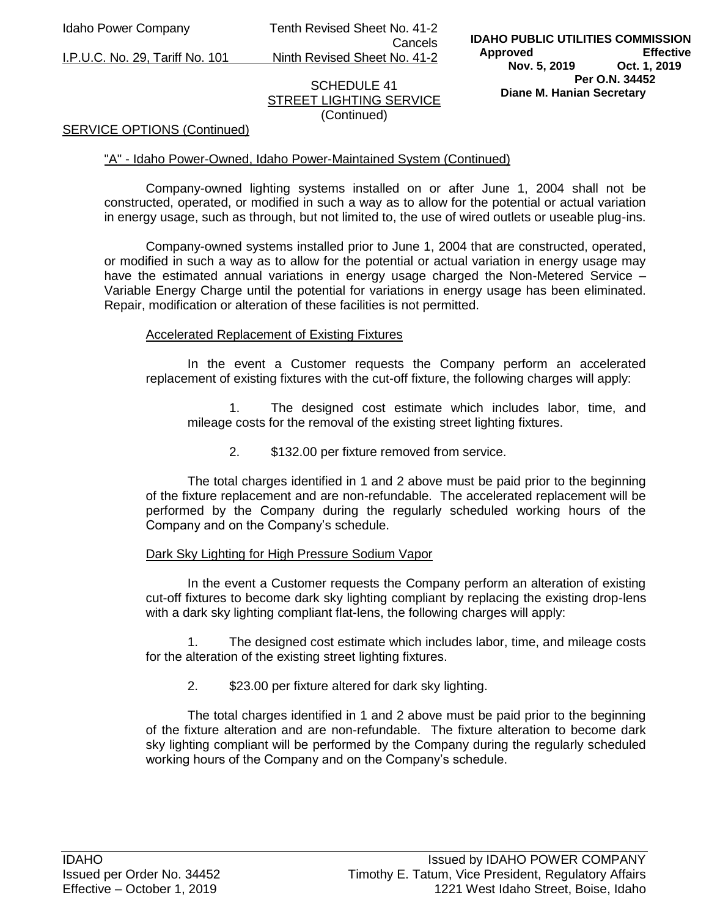Idaho Power Company Tenth Revised Sheet No. 41-2 Cancels

I.P.U.C. No. 29, Tariff No. 101 Ninth Revised Sheet No. 41-2

# SCHEDULE 41 STREET LIGHTING SERVICE (Continued)

#### SERVICE OPTIONS (Continued)

#### "A" - Idaho Power-Owned, Idaho Power-Maintained System (Continued)

Company-owned lighting systems installed on or after June 1, 2004 shall not be constructed, operated, or modified in such a way as to allow for the potential or actual variation in energy usage, such as through, but not limited to, the use of wired outlets or useable plug-ins.

Company-owned systems installed prior to June 1, 2004 that are constructed, operated, or modified in such a way as to allow for the potential or actual variation in energy usage may have the estimated annual variations in energy usage charged the Non-Metered Service – Variable Energy Charge until the potential for variations in energy usage has been eliminated. Repair, modification or alteration of these facilities is not permitted.

#### Accelerated Replacement of Existing Fixtures

In the event a Customer requests the Company perform an accelerated replacement of existing fixtures with the cut-off fixture, the following charges will apply:

1. The designed cost estimate which includes labor, time, and mileage costs for the removal of the existing street lighting fixtures.

2. \$132.00 per fixture removed from service.

The total charges identified in 1 and 2 above must be paid prior to the beginning of the fixture replacement and are non-refundable. The accelerated replacement will be performed by the Company during the regularly scheduled working hours of the Company and on the Company's schedule.

#### Dark Sky Lighting for High Pressure Sodium Vapor

In the event a Customer requests the Company perform an alteration of existing cut-off fixtures to become dark sky lighting compliant by replacing the existing drop-lens with a dark sky lighting compliant flat-lens, the following charges will apply:

1. The designed cost estimate which includes labor, time, and mileage costs for the alteration of the existing street lighting fixtures.

2. \$23.00 per fixture altered for dark sky lighting.

The total charges identified in 1 and 2 above must be paid prior to the beginning of the fixture alteration and are non-refundable. The fixture alteration to become dark sky lighting compliant will be performed by the Company during the regularly scheduled working hours of the Company and on the Company's schedule.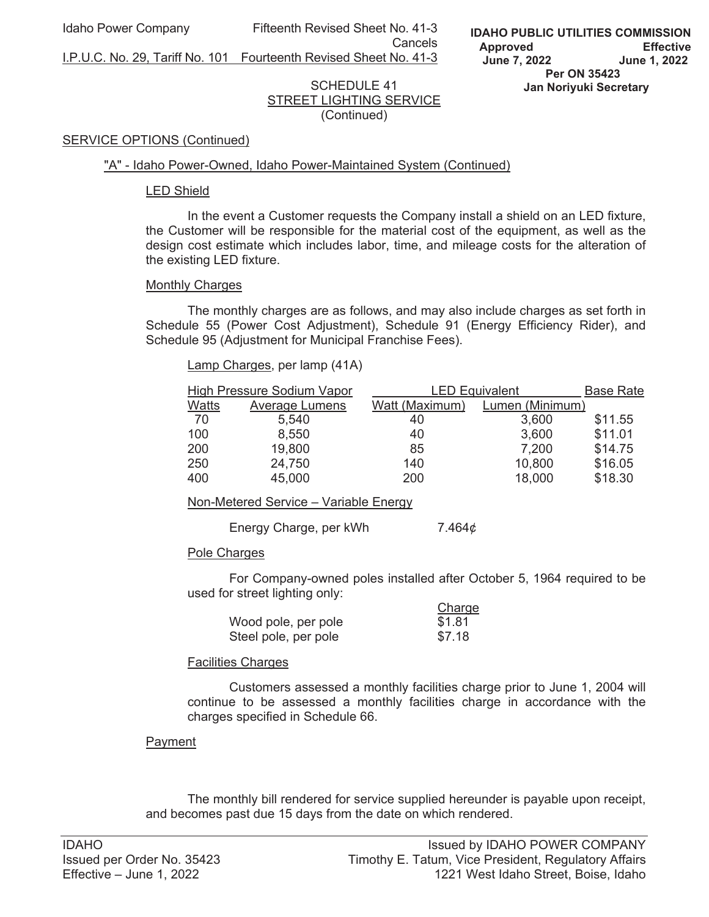Idaho Power Company Fifteenth Revised Sheet No. 41-3

**Cancels Cancels** I.P.U.C. No. 29, Tariff No. 101 Fourteenth Revised Sheet No. 41-3

## SCHEDULE 41 STREET LIGHTING SERVICE (Continued)

#### SERVICE OPTIONS (Continued)

#### "A" - Idaho Power-Owned, Idaho Power-Maintained System (Continued)

#### LED Shield

 In the event a Customer requests the Company install a shield on an LED fixture, the Customer will be responsible for the material cost of the equipment, as well as the design cost estimate which includes labor, time, and mileage costs for the alteration of the existing LED fixture.

#### Monthly Charges

 The monthly charges are as follows, and may also include charges as set forth in Schedule 55 (Power Cost Adjustment), Schedule 91 (Energy Efficiency Rider), and Schedule 95 (Adjustment for Municipal Franchise Fees).

Lamp Charges, per lamp (41A)

| <b>High Pressure Sodium Vapor</b> |                | <b>LED Equivalent</b> |                 | <b>Base Rate</b> |
|-----------------------------------|----------------|-----------------------|-----------------|------------------|
| Watts                             | Average Lumens | Watt (Maximum)        | Lumen (Minimum) |                  |
| 70                                | 5,540          | 40                    | 3,600           | \$11.55          |
| 100                               | 8,550          | 40                    | 3,600           | \$11.01          |
| 200                               | 19,800         | 85                    | 7,200           | \$14.75          |
| 250                               | 24,750         | 140                   | 10,800          | \$16.05          |
| 400                               | 45,000         | 200                   | 18,000          | \$18.30          |

Non-Metered Service – Variable Energy

Energy Charge, per kWh 7.464¢

# Pole Charges

 For Company-owned poles installed after October 5, 1964 required to be used for street lighting only:

|                      | Charge |
|----------------------|--------|
| Wood pole, per pole  | \$1.81 |
| Steel pole, per pole | \$7.18 |

# Facilities Charges

Customers assessed a monthly facilities charge prior to June 1, 2004 will continue to be assessed a monthly facilities charge in accordance with the charges specified in Schedule 66.

# Payment

 The monthly bill rendered for service supplied hereunder is payable upon receipt, and becomes past due 15 days from the date on which rendered.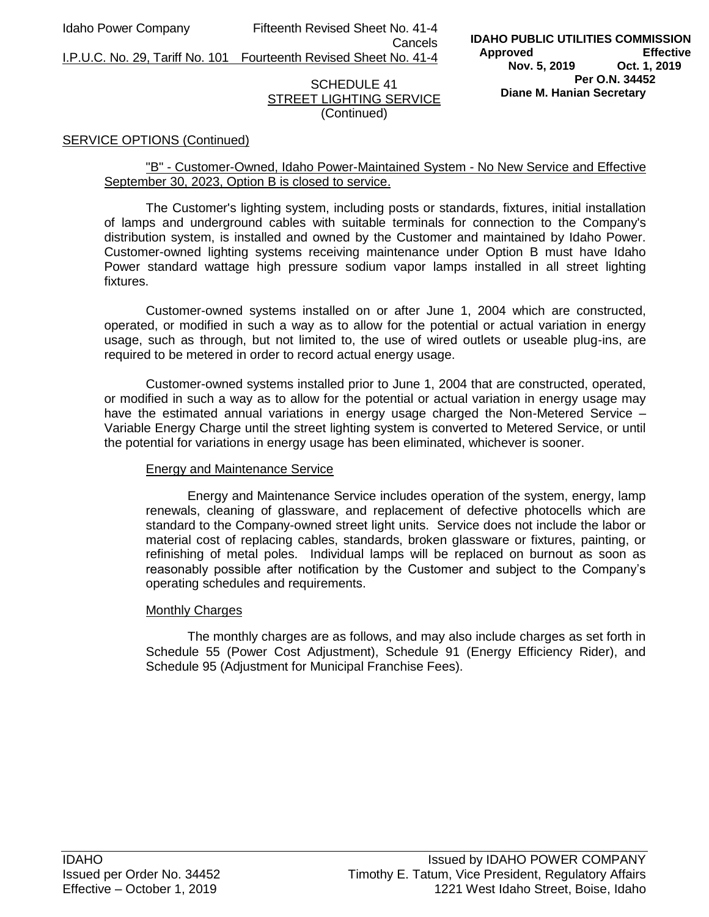Idaho Power Company Fifteenth Revised Sheet No. 41-4 Cancels

I.P.U.C. No. 29, Tariff No. 101 Fourteenth Revised Sheet No. 41-4

# SCHEDULE 41 STREET LIGHTING SERVICE (Continued)

#### SERVICE OPTIONS (Continued)

# "B" - Customer-Owned, Idaho Power-Maintained System - No New Service and Effective September 30, 2023, Option B is closed to service.

The Customer's lighting system, including posts or standards, fixtures, initial installation of lamps and underground cables with suitable terminals for connection to the Company's distribution system, is installed and owned by the Customer and maintained by Idaho Power. Customer-owned lighting systems receiving maintenance under Option B must have Idaho Power standard wattage high pressure sodium vapor lamps installed in all street lighting fixtures.

Customer-owned systems installed on or after June 1, 2004 which are constructed, operated, or modified in such a way as to allow for the potential or actual variation in energy usage, such as through, but not limited to, the use of wired outlets or useable plug-ins, are required to be metered in order to record actual energy usage.

Customer-owned systems installed prior to June 1, 2004 that are constructed, operated, or modified in such a way as to allow for the potential or actual variation in energy usage may have the estimated annual variations in energy usage charged the Non-Metered Service -Variable Energy Charge until the street lighting system is converted to Metered Service, or until the potential for variations in energy usage has been eliminated, whichever is sooner.

# Energy and Maintenance Service

Energy and Maintenance Service includes operation of the system, energy, lamp renewals, cleaning of glassware, and replacement of defective photocells which are standard to the Company-owned street light units. Service does not include the labor or material cost of replacing cables, standards, broken glassware or fixtures, painting, or refinishing of metal poles. Individual lamps will be replaced on burnout as soon as reasonably possible after notification by the Customer and subject to the Company's operating schedules and requirements.

#### Monthly Charges

The monthly charges are as follows, and may also include charges as set forth in Schedule 55 (Power Cost Adjustment), Schedule 91 (Energy Efficiency Rider), and Schedule 95 (Adjustment for Municipal Franchise Fees).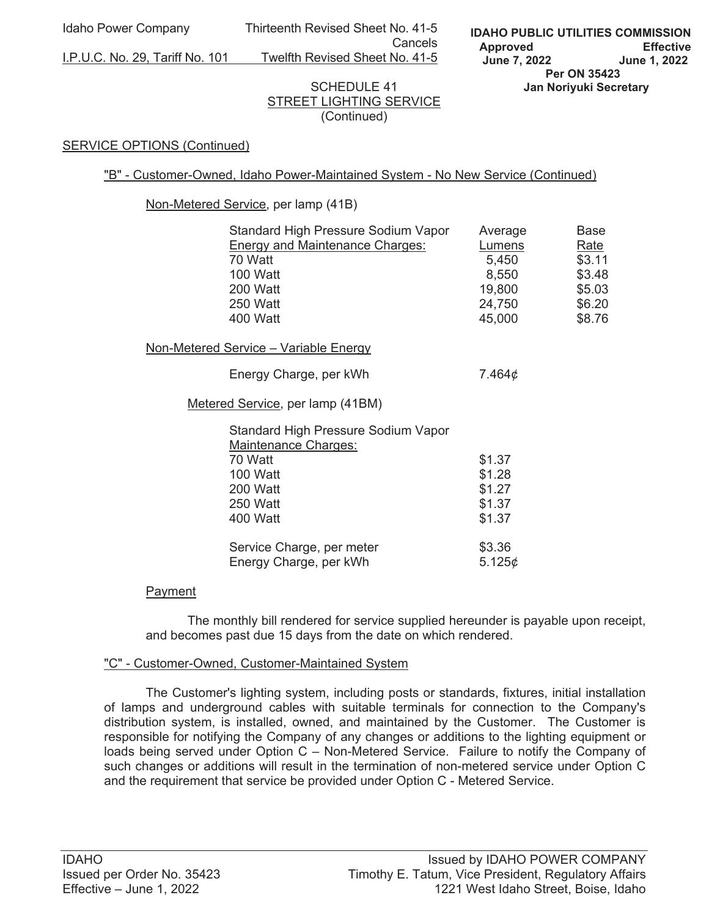Idaho Power Company Thirteenth Revised Sheet No. 41-5 **Cancels Cancels** 

I.P.U.C. No. 29, Tariff No. 101 Twelfth Revised Sheet No. 41-5

# SCHEDULE 41 STREET LIGHTING SERVICE (Continued)

## **SERVICE OPTIONS (Continued)**

"B" - Customer-Owned, Idaho Power-Maintained System - No New Service (Continued)

Non-Metered Service, per lamp (41B)

| Standard High Pressure Sodium Vapor                                | Average       | Base        |
|--------------------------------------------------------------------|---------------|-------------|
| <b>Energy and Maintenance Charges:</b>                             | <u>Lumens</u> | <u>Rate</u> |
| 70 Watt                                                            | 5,450         | \$3.11      |
| 100 Watt                                                           | 8,550         | \$3.48      |
| 200 Watt                                                           | 19,800        | \$5.03      |
| 250 Watt                                                           | 24,750        | \$6.20      |
| 400 Watt                                                           | 45,000        | \$8.76      |
| Non-Metered Service - Variable Energy                              |               |             |
| Energy Charge, per kWh                                             | 7.464¢        |             |
| Metered Service, per lamp (41BM)                                   |               |             |
| Standard High Pressure Sodium Vapor<br><b>Maintenance Charges:</b> |               |             |
| 70 Watt                                                            | \$1.37        |             |
| 100 Watt                                                           | \$1.28        |             |
| 200 Watt                                                           | \$1.27        |             |
| <b>250 Watt</b>                                                    | \$1.37        |             |
| 400 Watt                                                           | \$1.37        |             |
| Service Charge, per meter                                          | \$3.36        |             |
| Energy Charge, per kWh                                             | 5.125¢        |             |

# Payment

 The monthly bill rendered for service supplied hereunder is payable upon receipt, and becomes past due 15 days from the date on which rendered.

#### "C" - Customer-Owned, Customer-Maintained System

 The Customer's lighting system, including posts or standards, fixtures, initial installation of lamps and underground cables with suitable terminals for connection to the Company's distribution system, is installed, owned, and maintained by the Customer. The Customer is responsible for notifying the Company of any changes or additions to the lighting equipment or loads being served under Option C – Non-Metered Service. Failure to notify the Company of such changes or additions will result in the termination of non-metered service under Option C and the requirement that service be provided under Option C - Metered Service.